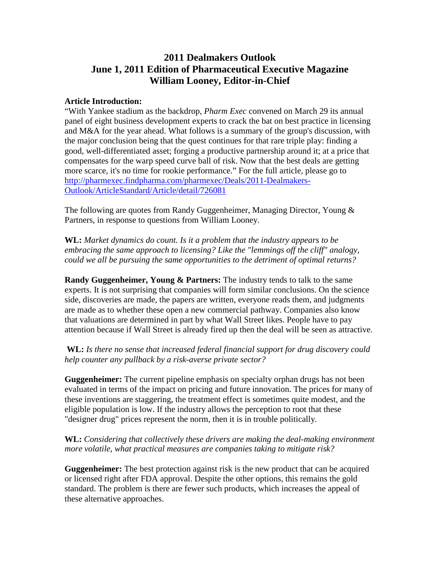## **2011 Dealmakers Outlook June 1, 2011 Edition of Pharmaceutical Executive Magazine William Looney, Editor-in-Chief**

## **Article Introduction:**

"With Yankee stadium as the backdrop, *Pharm Exec* convened on March 29 its annual panel of eight business development experts to crack the bat on best practice in licensing and M&A for the year ahead. What follows is a summary of the group's discussion, with the major conclusion being that the quest continues for that rare triple play: finding a good, well-differentiated asset; forging a productive partnership around it; at a price that compensates for the warp speed curve ball of risk. Now that the best deals are getting more scarce, it's no time for rookie performance." For the full article, please go to [http://pharmexec.findpharma.com/pharmexec/Deals/2011-Dealmakers-](http://pharmexec.findpharma.com/pharmexec/Deals/2011-Dealmakers-Outlook/ArticleStandard/Article/detail/726081)[Outlook/ArticleStandard/Article/detail/726081](http://pharmexec.findpharma.com/pharmexec/Deals/2011-Dealmakers-Outlook/ArticleStandard/Article/detail/726081)

The following are quotes from Randy Guggenheimer, Managing Director, Young & Partners, in response to questions from William Looney.

**WL:** *Market dynamics do count. Is it a problem that the industry appears to be embracing the same approach to licensing? Like the "lemmings off the cliff" analogy, could we all be pursuing the same opportunities to the detriment of optimal returns?*

**Randy Guggenheimer, Young & Partners:** The industry tends to talk to the same experts. It is not surprising that companies will form similar conclusions. On the science side, discoveries are made, the papers are written, everyone reads them, and judgments are made as to whether these open a new commercial pathway. Companies also know that valuations are determined in part by what Wall Street likes. People have to pay attention because if Wall Street is already fired up then the deal will be seen as attractive.

**WL:** *Is there no sense that increased federal financial support for drug discovery could help counter any pullback by a risk-averse private sector?*

**Guggenheimer:** The current pipeline emphasis on specialty orphan drugs has not been evaluated in terms of the impact on pricing and future innovation. The prices for many of these inventions are staggering, the treatment effect is sometimes quite modest, and the eligible population is low. If the industry allows the perception to root that these "designer drug" prices represent the norm, then it is in trouble politically.

**WL:** *Considering that collectively these drivers are making the deal-making environment more volatile, what practical measures are companies taking to mitigate risk?*

**Guggenheimer:** The best protection against risk is the new product that can be acquired or licensed right after FDA approval. Despite the other options, this remains the gold standard. The problem is there are fewer such products, which increases the appeal of these alternative approaches.